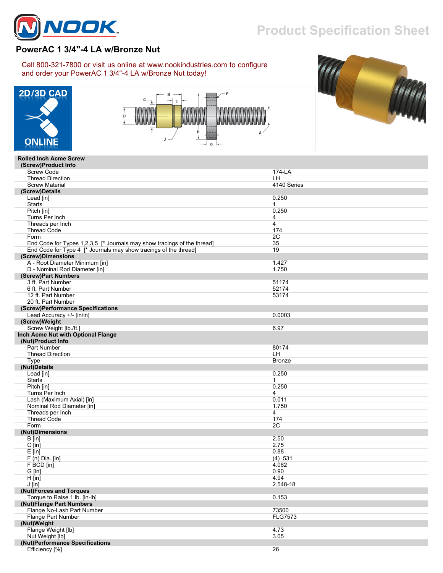

## **Product Specification Sheet**

## **PowerAC 1 3/4"-4 LA w/Bronze Nut**

Call 800-321-7800 or visit us online at www.nookindustries.com to configure and order your PowerAC 1 3/4"-4 LA w/Bronze Nut today!







## **Rolled Inch Acme Screw (Screw)Product Info** Screw Code 174-LA<br>Throad Direction Thread Direction  **(Screw)Details**

| iilitau Diituudii                                                       | --             |
|-------------------------------------------------------------------------|----------------|
| <b>Screw Material</b>                                                   | 4140 Series    |
| (Screw)Details                                                          |                |
| Lead [in]                                                               | 0.250          |
| <b>Starts</b>                                                           | $\mathbf{1}$   |
| Pitch [in]                                                              | 0.250          |
| Turns Per Inch                                                          | 4              |
| Threads per Inch                                                        | $\overline{4}$ |
| <b>Thread Code</b>                                                      | 174            |
| Form                                                                    | 2C             |
| End Code for Types 1,2,3,5 [* Journals may show tracings of the thread] | 35             |
| End Code for Type 4 [* Journals may show tracings of the thread]        | 19             |
| (Screw)Dimensions                                                       |                |
| A - Root Diameter Minimum [in]                                          | 1.427          |
| D - Nominal Rod Diameter [in]                                           | 1.750          |
| (Screw)Part Numbers                                                     |                |
| 3 ft. Part Number                                                       | 51174          |
| 6 ft. Part Number                                                       | 52174          |
| 12 ft. Part Number                                                      | 53174          |
| 20 ft. Part Number                                                      |                |
| (Screw)Performance Specifications                                       |                |
| Lead Accuracy +/- [in/in]                                               | 0.0003         |
| (Screw)Weight                                                           |                |
| Screw Weight [lb./ft.]                                                  | 6.97           |
| Inch Acme Nut with Optional Flange                                      |                |
| (Nut)Product Info                                                       |                |
| Part Number                                                             | 80174          |
| <b>Thread Direction</b>                                                 | LH             |
| Type                                                                    | <b>Bronze</b>  |
| (Nut)Details                                                            |                |
| Lead [in]                                                               | 0.250          |
| <b>Starts</b>                                                           | $\mathbf{1}$   |
| Pitch [in]                                                              | 0.250          |
| Turns Per Inch                                                          | 4              |
| Lash (Maximum Axial) [in]                                               | 0.011          |
| Nominal Rod Diameter [in]                                               | 1.750          |
| Threads per Inch                                                        | $\overline{4}$ |
| <b>Thread Code</b>                                                      | 174            |
| Form                                                                    | 2C             |
| (Nut)Dimensions                                                         |                |
| $B$ [in]                                                                | 2.50           |
| C [in]                                                                  | 2.75           |
| $E$ [in]                                                                | 0.88           |
| $F(n)$ Dia. [in]                                                        | (4) .531       |
| F BCD [in]                                                              | 4.062          |
| G [in]                                                                  | 0.90           |
| $H$ [in]                                                                | 4.94           |
| $J$ [in]                                                                | 2.548-18       |
| (Nut)Forces and Torques                                                 |                |
| Torque to Raise 1 lb. [in-lb]                                           | 0.153          |
| (Nut)Flange Part Numbers                                                |                |
| Flange No-Lash Part Number                                              | 73500          |
| Flange Part Number                                                      | <b>FLG7573</b> |
| (Nut)Weight                                                             |                |
| Flange Weight [lb]                                                      | 4.73           |
| Nut Weight [lb]                                                         | 3.05           |
| (Nut)Performance Specifications                                         |                |
|                                                                         |                |
| Efficiency [%]                                                          | 26             |